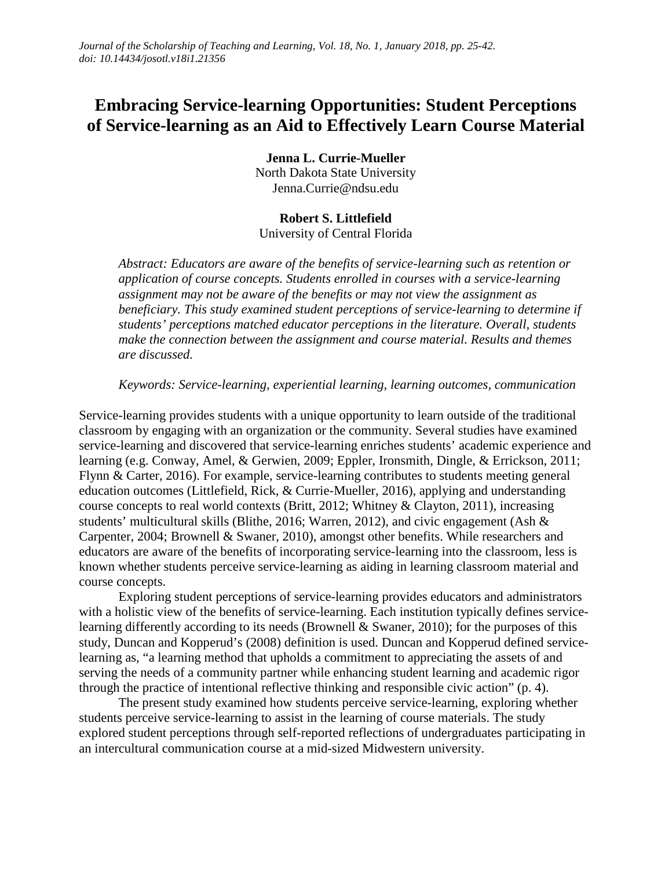# **Embracing Service-learning Opportunities: Student Perceptions of Service-learning as an Aid to Effectively Learn Course Material**

**Jenna L. Currie-Mueller** North Dakota State University Jenna.Currie@ndsu.edu

### **Robert S. Littlefield**

University of Central Florida

*Abstract: Educators are aware of the benefits of service-learning such as retention or application of course concepts. Students enrolled in courses with a service-learning assignment may not be aware of the benefits or may not view the assignment as beneficiary. This study examined student perceptions of service-learning to determine if students' perceptions matched educator perceptions in the literature. Overall, students make the connection between the assignment and course material. Results and themes are discussed.* 

*Keywords: Service-learning, experiential learning, learning outcomes, communication*

Service-learning provides students with a unique opportunity to learn outside of the traditional classroom by engaging with an organization or the community. Several studies have examined service-learning and discovered that service-learning enriches students' academic experience and learning (e.g. Conway, Amel, & Gerwien, 2009; Eppler, Ironsmith, Dingle, & Errickson, 2011; Flynn & Carter, 2016). For example, service-learning contributes to students meeting general education outcomes (Littlefield, Rick, & Currie-Mueller, 2016), applying and understanding course concepts to real world contexts (Britt, 2012; Whitney & Clayton, 2011), increasing students' multicultural skills (Blithe, 2016; Warren, 2012), and civic engagement (Ash & Carpenter, 2004; Brownell & Swaner, 2010), amongst other benefits. While researchers and educators are aware of the benefits of incorporating service-learning into the classroom, less is known whether students perceive service-learning as aiding in learning classroom material and course concepts.

Exploring student perceptions of service-learning provides educators and administrators with a holistic view of the benefits of service-learning. Each institution typically defines servicelearning differently according to its needs (Brownell & Swaner, 2010); for the purposes of this study, Duncan and Kopperud's (2008) definition is used. Duncan and Kopperud defined servicelearning as, "a learning method that upholds a commitment to appreciating the assets of and serving the needs of a community partner while enhancing student learning and academic rigor through the practice of intentional reflective thinking and responsible civic action" (p. 4).

The present study examined how students perceive service-learning, exploring whether students perceive service-learning to assist in the learning of course materials. The study explored student perceptions through self-reported reflections of undergraduates participating in an intercultural communication course at a mid-sized Midwestern university.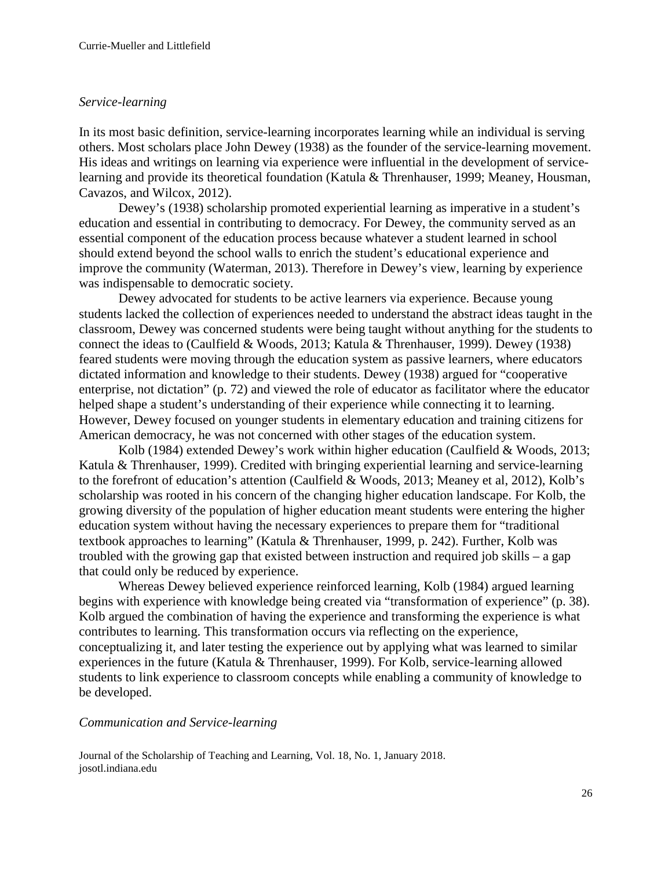### *Service-learning*

In its most basic definition, service-learning incorporates learning while an individual is serving others. Most scholars place John Dewey (1938) as the founder of the service-learning movement. His ideas and writings on learning via experience were influential in the development of servicelearning and provide its theoretical foundation (Katula & Threnhauser, 1999; Meaney, Housman, Cavazos, and Wilcox, 2012).

Dewey's (1938) scholarship promoted experiential learning as imperative in a student's education and essential in contributing to democracy. For Dewey, the community served as an essential component of the education process because whatever a student learned in school should extend beyond the school walls to enrich the student's educational experience and improve the community (Waterman, 2013). Therefore in Dewey's view, learning by experience was indispensable to democratic society.

Dewey advocated for students to be active learners via experience. Because young students lacked the collection of experiences needed to understand the abstract ideas taught in the classroom, Dewey was concerned students were being taught without anything for the students to connect the ideas to (Caulfield & Woods, 2013; Katula & Threnhauser, 1999). Dewey (1938) feared students were moving through the education system as passive learners, where educators dictated information and knowledge to their students. Dewey (1938) argued for "cooperative enterprise, not dictation" (p. 72) and viewed the role of educator as facilitator where the educator helped shape a student's understanding of their experience while connecting it to learning. However, Dewey focused on younger students in elementary education and training citizens for American democracy, he was not concerned with other stages of the education system.

Kolb (1984) extended Dewey's work within higher education (Caulfield & Woods, 2013; Katula & Threnhauser, 1999). Credited with bringing experiential learning and service-learning to the forefront of education's attention (Caulfield & Woods, 2013; Meaney et al, 2012), Kolb's scholarship was rooted in his concern of the changing higher education landscape. For Kolb, the growing diversity of the population of higher education meant students were entering the higher education system without having the necessary experiences to prepare them for "traditional textbook approaches to learning" (Katula & Threnhauser, 1999, p. 242). Further, Kolb was troubled with the growing gap that existed between instruction and required job skills – a gap that could only be reduced by experience.

Whereas Dewey believed experience reinforced learning, Kolb (1984) argued learning begins with experience with knowledge being created via "transformation of experience" (p. 38). Kolb argued the combination of having the experience and transforming the experience is what contributes to learning. This transformation occurs via reflecting on the experience, conceptualizing it, and later testing the experience out by applying what was learned to similar experiences in the future (Katula & Threnhauser, 1999). For Kolb, service-learning allowed students to link experience to classroom concepts while enabling a community of knowledge to be developed.

#### *Communication and Service-learning*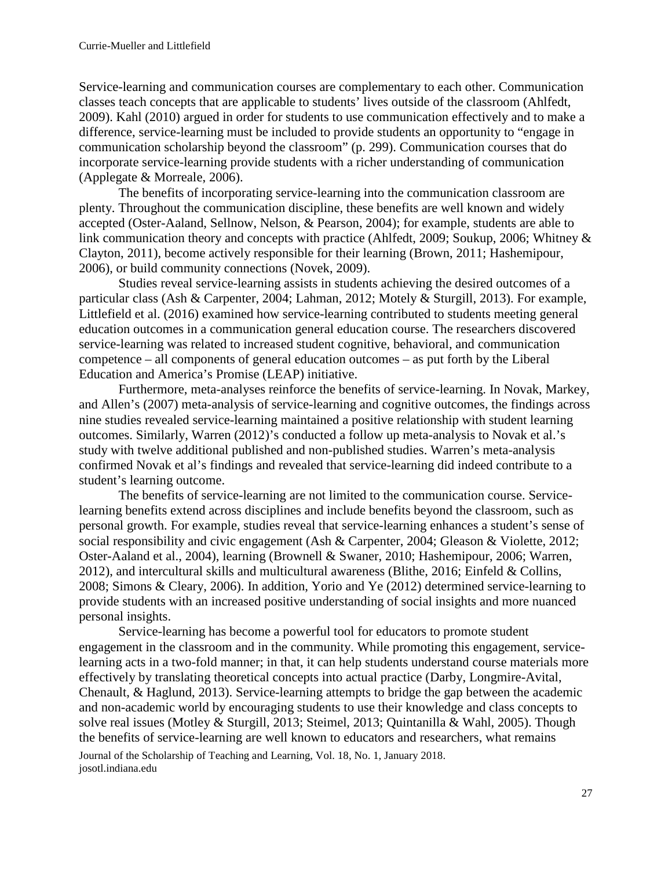Service-learning and communication courses are complementary to each other. Communication classes teach concepts that are applicable to students' lives outside of the classroom (Ahlfedt, 2009). Kahl (2010) argued in order for students to use communication effectively and to make a difference, service-learning must be included to provide students an opportunity to "engage in communication scholarship beyond the classroom" (p. 299). Communication courses that do incorporate service-learning provide students with a richer understanding of communication (Applegate & Morreale, 2006).

The benefits of incorporating service-learning into the communication classroom are plenty. Throughout the communication discipline, these benefits are well known and widely accepted (Oster-Aaland, Sellnow, Nelson, & Pearson, 2004); for example, students are able to link communication theory and concepts with practice (Ahlfedt, 2009; Soukup, 2006; Whitney & Clayton, 2011), become actively responsible for their learning (Brown, 2011; Hashemipour, 2006), or build community connections (Novek, 2009).

Studies reveal service-learning assists in students achieving the desired outcomes of a particular class (Ash & Carpenter, 2004; Lahman, 2012; Motely & Sturgill, 2013). For example, Littlefield et al. (2016) examined how service-learning contributed to students meeting general education outcomes in a communication general education course. The researchers discovered service-learning was related to increased student cognitive, behavioral, and communication competence – all components of general education outcomes – as put forth by the Liberal Education and America's Promise (LEAP) initiative.

Furthermore, meta-analyses reinforce the benefits of service-learning. In Novak, Markey, and Allen's (2007) meta-analysis of service-learning and cognitive outcomes, the findings across nine studies revealed service-learning maintained a positive relationship with student learning outcomes. Similarly, Warren (2012)'s conducted a follow up meta-analysis to Novak et al.'s study with twelve additional published and non-published studies. Warren's meta-analysis confirmed Novak et al's findings and revealed that service-learning did indeed contribute to a student's learning outcome.

The benefits of service-learning are not limited to the communication course. Servicelearning benefits extend across disciplines and include benefits beyond the classroom, such as personal growth. For example, studies reveal that service-learning enhances a student's sense of social responsibility and civic engagement (Ash & Carpenter, 2004; Gleason & Violette, 2012; Oster-Aaland et al., 2004), learning (Brownell & Swaner, 2010; Hashemipour, 2006; Warren, 2012), and intercultural skills and multicultural awareness (Blithe, 2016; Einfeld & Collins, 2008; Simons & Cleary, 2006). In addition, Yorio and Ye (2012) determined service-learning to provide students with an increased positive understanding of social insights and more nuanced personal insights.

Service-learning has become a powerful tool for educators to promote student engagement in the classroom and in the community. While promoting this engagement, servicelearning acts in a two-fold manner; in that, it can help students understand course materials more effectively by translating theoretical concepts into actual practice (Darby, Longmire-Avital, Chenault, & Haglund, 2013). Service-learning attempts to bridge the gap between the academic and non-academic world by encouraging students to use their knowledge and class concepts to solve real issues (Motley & Sturgill, 2013; Steimel, 2013; Quintanilla & Wahl, 2005). Though the benefits of service-learning are well known to educators and researchers, what remains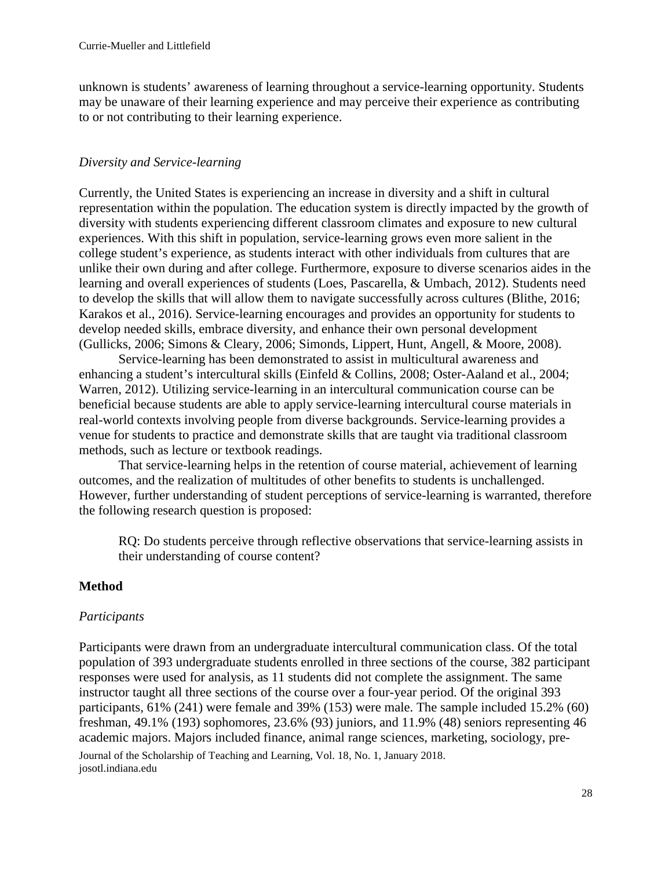unknown is students' awareness of learning throughout a service-learning opportunity. Students may be unaware of their learning experience and may perceive their experience as contributing to or not contributing to their learning experience.

### *Diversity and Service-learning*

Currently, the United States is experiencing an increase in diversity and a shift in cultural representation within the population. The education system is directly impacted by the growth of diversity with students experiencing different classroom climates and exposure to new cultural experiences. With this shift in population, service-learning grows even more salient in the college student's experience, as students interact with other individuals from cultures that are unlike their own during and after college. Furthermore, exposure to diverse scenarios aides in the learning and overall experiences of students (Loes, Pascarella, & Umbach, 2012). Students need to develop the skills that will allow them to navigate successfully across cultures (Blithe, 2016; Karakos et al., 2016). Service-learning encourages and provides an opportunity for students to develop needed skills, embrace diversity, and enhance their own personal development (Gullicks, 2006; Simons & Cleary, 2006; Simonds, Lippert, Hunt, Angell, & Moore, 2008).

Service-learning has been demonstrated to assist in multicultural awareness and enhancing a student's intercultural skills (Einfeld & Collins, 2008; Oster-Aaland et al., 2004; Warren, 2012). Utilizing service-learning in an intercultural communication course can be beneficial because students are able to apply service-learning intercultural course materials in real-world contexts involving people from diverse backgrounds. Service-learning provides a venue for students to practice and demonstrate skills that are taught via traditional classroom methods, such as lecture or textbook readings.

That service-learning helps in the retention of course material, achievement of learning outcomes, and the realization of multitudes of other benefits to students is unchallenged. However, further understanding of student perceptions of service-learning is warranted, therefore the following research question is proposed:

RQ: Do students perceive through reflective observations that service-learning assists in their understanding of course content?

### **Method**

#### *Participants*

Journal of the Scholarship of Teaching and Learning, Vol. 18, No. 1, January 2018. josotl.indiana.edu Participants were drawn from an undergraduate intercultural communication class. Of the total population of 393 undergraduate students enrolled in three sections of the course, 382 participant responses were used for analysis, as 11 students did not complete the assignment. The same instructor taught all three sections of the course over a four-year period. Of the original 393 participants, 61% (241) were female and 39% (153) were male. The sample included 15.2% (60) freshman, 49.1% (193) sophomores, 23.6% (93) juniors, and 11.9% (48) seniors representing 46 academic majors. Majors included finance, animal range sciences, marketing, sociology, pre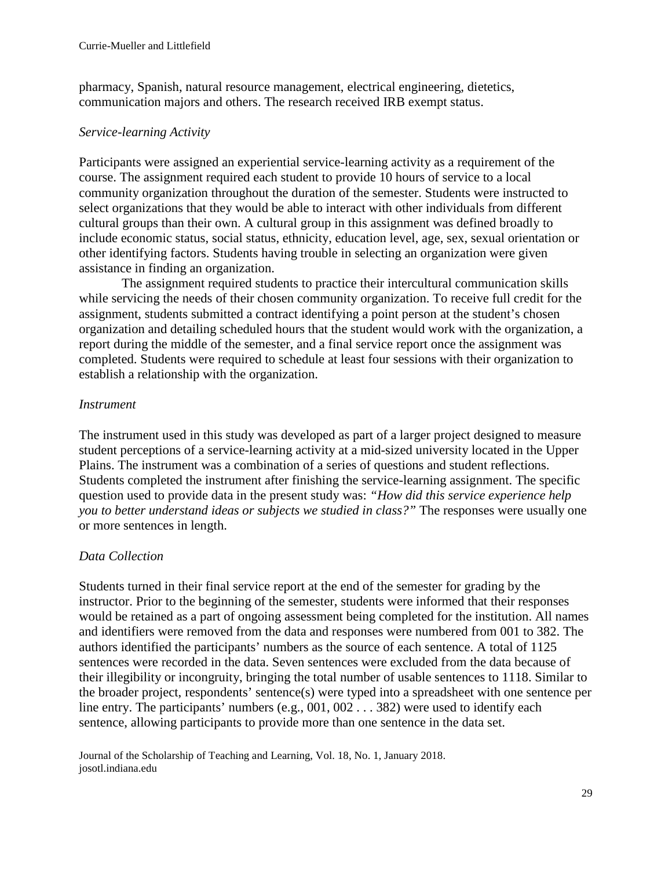pharmacy, Spanish, natural resource management, electrical engineering, dietetics, communication majors and others. The research received IRB exempt status.

#### *Service-learning Activity*

Participants were assigned an experiential service-learning activity as a requirement of the course. The assignment required each student to provide 10 hours of service to a local community organization throughout the duration of the semester. Students were instructed to select organizations that they would be able to interact with other individuals from different cultural groups than their own. A cultural group in this assignment was defined broadly to include economic status, social status, ethnicity, education level, age, sex, sexual orientation or other identifying factors. Students having trouble in selecting an organization were given assistance in finding an organization.

The assignment required students to practice their intercultural communication skills while servicing the needs of their chosen community organization. To receive full credit for the assignment, students submitted a contract identifying a point person at the student's chosen organization and detailing scheduled hours that the student would work with the organization, a report during the middle of the semester, and a final service report once the assignment was completed. Students were required to schedule at least four sessions with their organization to establish a relationship with the organization.

### *Instrument*

The instrument used in this study was developed as part of a larger project designed to measure student perceptions of a service-learning activity at a mid-sized university located in the Upper Plains. The instrument was a combination of a series of questions and student reflections. Students completed the instrument after finishing the service-learning assignment. The specific question used to provide data in the present study was: *"How did this service experience help you to better understand ideas or subjects we studied in class?"* The responses were usually one or more sentences in length.

### *Data Collection*

Students turned in their final service report at the end of the semester for grading by the instructor. Prior to the beginning of the semester, students were informed that their responses would be retained as a part of ongoing assessment being completed for the institution. All names and identifiers were removed from the data and responses were numbered from 001 to 382. The authors identified the participants' numbers as the source of each sentence. A total of 1125 sentences were recorded in the data. Seven sentences were excluded from the data because of their illegibility or incongruity, bringing the total number of usable sentences to 1118. Similar to the broader project, respondents' sentence(s) were typed into a spreadsheet with one sentence per line entry. The participants' numbers (e.g., 001, 002 . . . 382) were used to identify each sentence, allowing participants to provide more than one sentence in the data set.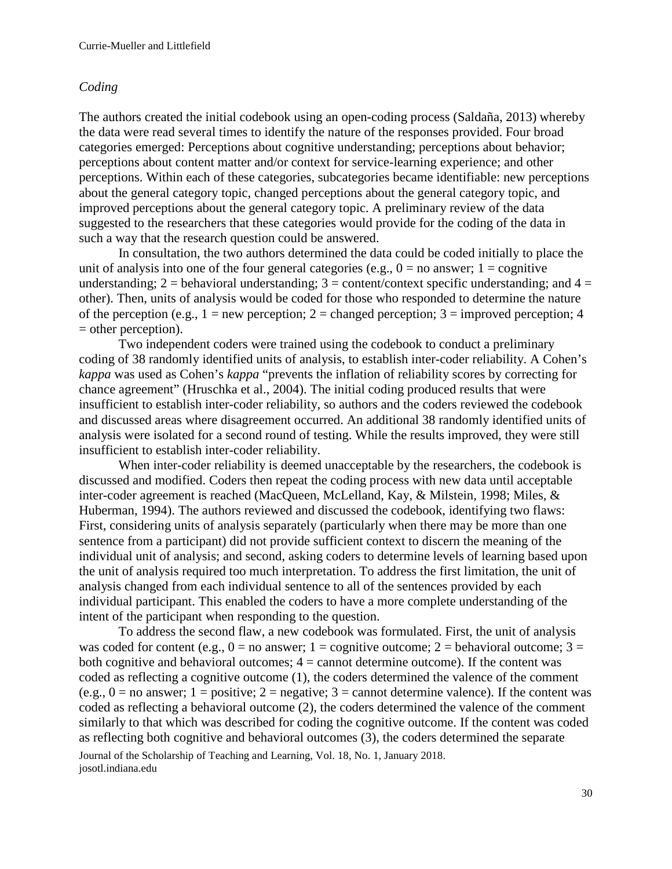#### *Coding*

The authors created the initial codebook using an open-coding process (Saldaña, 2013) whereby the data were read several times to identify the nature of the responses provided. Four broad categories emerged: Perceptions about cognitive understanding; perceptions about behavior; perceptions about content matter and/or context for service-learning experience; and other perceptions. Within each of these categories, subcategories became identifiable: new perceptions about the general category topic, changed perceptions about the general category topic, and improved perceptions about the general category topic. A preliminary review of the data suggested to the researchers that these categories would provide for the coding of the data in such a way that the research question could be answered.

In consultation, the two authors determined the data could be coded initially to place the unit of analysis into one of the four general categories (e.g.,  $0 =$  no answer;  $1 =$  cognitive understanding;  $2 =$  behavioral understanding;  $3 =$  content/context specific understanding; and  $4 =$ other). Then, units of analysis would be coded for those who responded to determine the nature of the perception (e.g.,  $1 = new$  perception;  $2 =$  changed perception;  $3 =$  improved perception; 4 = other perception).

Two independent coders were trained using the codebook to conduct a preliminary coding of 38 randomly identified units of analysis, to establish inter-coder reliability. A Cohen's *kappa* was used as Cohen's *kappa* "prevents the inflation of reliability scores by correcting for chance agreement" (Hruschka et al., 2004). The initial coding produced results that were insufficient to establish inter-coder reliability, so authors and the coders reviewed the codebook and discussed areas where disagreement occurred. An additional 38 randomly identified units of analysis were isolated for a second round of testing. While the results improved, they were still insufficient to establish inter-coder reliability.

When inter-coder reliability is deemed unacceptable by the researchers, the codebook is discussed and modified. Coders then repeat the coding process with new data until acceptable inter-coder agreement is reached (MacQueen, McLelland, Kay, & Milstein, 1998; Miles, & Huberman, 1994). The authors reviewed and discussed the codebook, identifying two flaws: First, considering units of analysis separately (particularly when there may be more than one sentence from a participant) did not provide sufficient context to discern the meaning of the individual unit of analysis; and second, asking coders to determine levels of learning based upon the unit of analysis required too much interpretation. To address the first limitation, the unit of analysis changed from each individual sentence to all of the sentences provided by each individual participant. This enabled the coders to have a more complete understanding of the intent of the participant when responding to the question.

To address the second flaw, a new codebook was formulated. First, the unit of analysis was coded for content (e.g.,  $0 =$  no answer; 1 = cognitive outcome; 2 = behavioral outcome; 3 = both cognitive and behavioral outcomes;  $4 =$  cannot determine outcome). If the content was coded as reflecting a cognitive outcome (1), the coders determined the valence of the comment (e.g.,  $0 =$  no answer; 1 = positive; 2 = negative; 3 = cannot determine valence). If the content was coded as reflecting a behavioral outcome (2), the coders determined the valence of the comment similarly to that which was described for coding the cognitive outcome. If the content was coded as reflecting both cognitive and behavioral outcomes (3), the coders determined the separate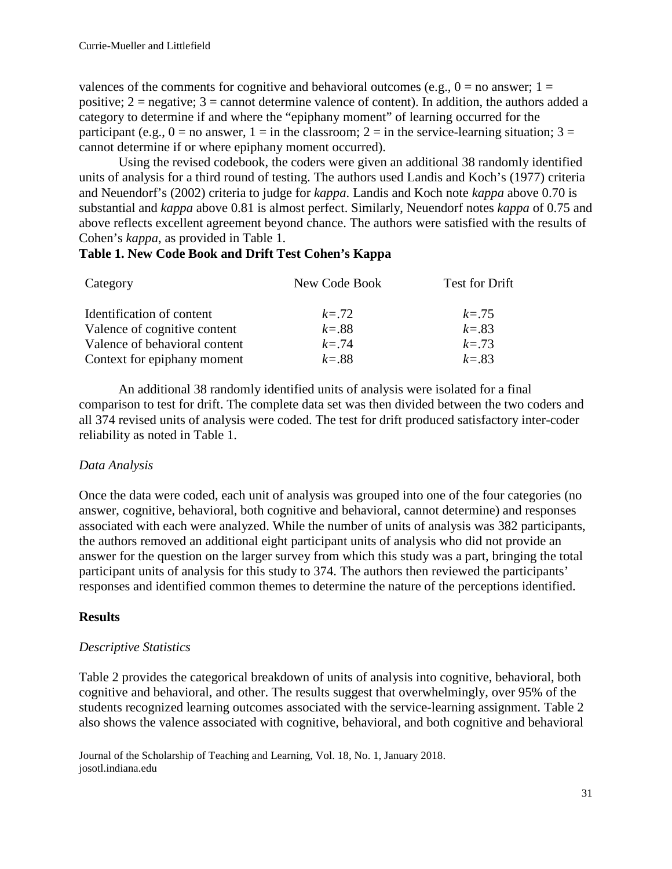valences of the comments for cognitive and behavioral outcomes (e.g.,  $0 =$  no answer; 1 = positive;  $2 =$  negative;  $3 =$  cannot determine valence of content). In addition, the authors added a category to determine if and where the "epiphany moment" of learning occurred for the participant (e.g.,  $0 =$  no answer,  $1 =$  in the classroom;  $2 =$  in the service-learning situation;  $3 =$ cannot determine if or where epiphany moment occurred).

Using the revised codebook, the coders were given an additional 38 randomly identified units of analysis for a third round of testing. The authors used Landis and Koch's (1977) criteria and Neuendorf's (2002) criteria to judge for *kappa*. Landis and Koch note *kappa* above 0.70 is substantial and *kappa* above 0.81 is almost perfect. Similarly, Neuendorf notes *kappa* of 0.75 and above reflects excellent agreement beyond chance. The authors were satisfied with the results of Cohen's *kappa*, as provided in Table 1.

# **Table 1. New Code Book and Drift Test Cohen's Kappa**

| Category                      | New Code Book | <b>Test for Drift</b> |  |  |
|-------------------------------|---------------|-----------------------|--|--|
| Identification of content     | $k = 72$      | $k = .75$             |  |  |
| Valence of cognitive content  | $k = .88$     | $k = .83$             |  |  |
| Valence of behavioral content | $k = 74$      | $k = .73$             |  |  |
| Context for epiphany moment   | $k = 0.88$    | $k = 0.83$            |  |  |

An additional 38 randomly identified units of analysis were isolated for a final comparison to test for drift. The complete data set was then divided between the two coders and all 374 revised units of analysis were coded. The test for drift produced satisfactory inter-coder reliability as noted in Table 1.

# *Data Analysis*

Once the data were coded, each unit of analysis was grouped into one of the four categories (no answer, cognitive, behavioral, both cognitive and behavioral, cannot determine) and responses associated with each were analyzed. While the number of units of analysis was 382 participants, the authors removed an additional eight participant units of analysis who did not provide an answer for the question on the larger survey from which this study was a part, bringing the total participant units of analysis for this study to 374. The authors then reviewed the participants' responses and identified common themes to determine the nature of the perceptions identified.

### **Results**

# *Descriptive Statistics*

Table 2 provides the categorical breakdown of units of analysis into cognitive, behavioral, both cognitive and behavioral, and other. The results suggest that overwhelmingly, over 95% of the students recognized learning outcomes associated with the service-learning assignment. Table 2 also shows the valence associated with cognitive, behavioral, and both cognitive and behavioral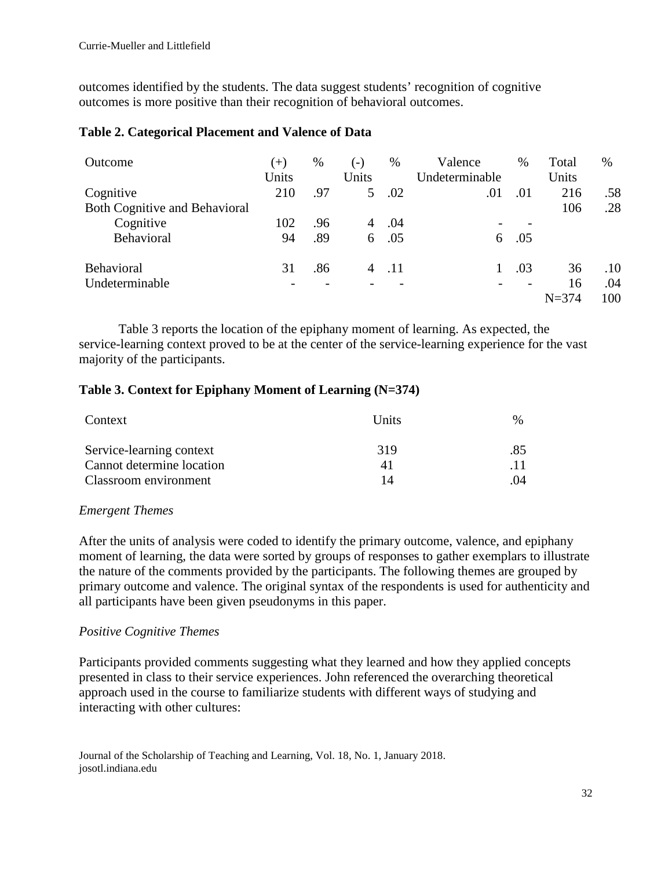outcomes identified by the students. The data suggest students' recognition of cognitive outcomes is more positive than their recognition of behavioral outcomes.

## **Table 2. Categorical Placement and Valence of Data**

| Outcome                              | $(+)$<br>Units | $\%$ | $(-)$<br>Units | %   | Valence<br>Undeterminable | $\%$ | Total<br>Units | $\%$ |
|--------------------------------------|----------------|------|----------------|-----|---------------------------|------|----------------|------|
| Cognitive                            | 210            | .97  | $5^{\circ}$    | .02 | .01                       | .01  | 216            | .58  |
| <b>Both Cognitive and Behavioral</b> |                |      |                |     |                           |      | 106            | .28  |
| Cognitive                            | 102            | .96  | 4              | .04 |                           |      |                |      |
| Behavioral                           | 94             | .89  | 6              | .05 | 6                         | .05  |                |      |
| Behavioral                           | 31             | .86  |                | .11 |                           | .03  | 36             | .10  |
| Undeterminable                       |                |      |                |     |                           |      | 16             | .04  |
|                                      |                |      |                |     |                           |      | $N = 374$      | 100  |

Table 3 reports the location of the epiphany moment of learning. As expected, the service-learning context proved to be at the center of the service-learning experience for the vast majority of the participants.

## **Table 3. Context for Epiphany Moment of Learning (N=374)**

| Context                   | <b>Units</b> | $\%$ |  |
|---------------------------|--------------|------|--|
| Service-learning context  | 319          | .85  |  |
| Cannot determine location | 41           |      |  |
| Classroom environment     | 14           | -04  |  |

### *Emergent Themes*

After the units of analysis were coded to identify the primary outcome, valence, and epiphany moment of learning, the data were sorted by groups of responses to gather exemplars to illustrate the nature of the comments provided by the participants. The following themes are grouped by primary outcome and valence. The original syntax of the respondents is used for authenticity and all participants have been given pseudonyms in this paper.

# *Positive Cognitive Themes*

Participants provided comments suggesting what they learned and how they applied concepts presented in class to their service experiences. John referenced the overarching theoretical approach used in the course to familiarize students with different ways of studying and interacting with other cultures:

Journal of the Scholarship of Teaching and Learning, Vol. 18, No. 1, January 2018. josotl.indiana.edu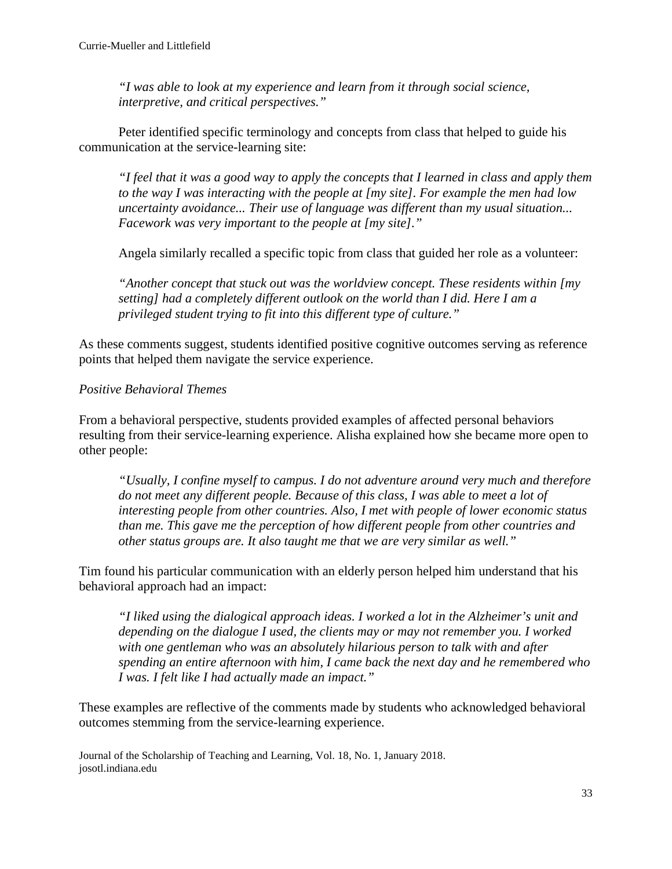*"I was able to look at my experience and learn from it through social science, interpretive, and critical perspectives."*

Peter identified specific terminology and concepts from class that helped to guide his communication at the service-learning site:

*"I feel that it was a good way to apply the concepts that I learned in class and apply them to the way I was interacting with the people at [my site]. For example the men had low uncertainty avoidance... Their use of language was different than my usual situation... Facework was very important to the people at [my site]."* 

Angela similarly recalled a specific topic from class that guided her role as a volunteer:

*"Another concept that stuck out was the worldview concept. These residents within [my setting] had a completely different outlook on the world than I did. Here I am a privileged student trying to fit into this different type of culture."*

As these comments suggest, students identified positive cognitive outcomes serving as reference points that helped them navigate the service experience.

## *Positive Behavioral Themes*

From a behavioral perspective, students provided examples of affected personal behaviors resulting from their service-learning experience. Alisha explained how she became more open to other people:

*"Usually, I confine myself to campus. I do not adventure around very much and therefore do not meet any different people. Because of this class, I was able to meet a lot of interesting people from other countries. Also, I met with people of lower economic status than me. This gave me the perception of how different people from other countries and other status groups are. It also taught me that we are very similar as well."*

Tim found his particular communication with an elderly person helped him understand that his behavioral approach had an impact:

*"I liked using the dialogical approach ideas. I worked a lot in the Alzheimer's unit and depending on the dialogue I used, the clients may or may not remember you. I worked with one gentleman who was an absolutely hilarious person to talk with and after spending an entire afternoon with him, I came back the next day and he remembered who I was. I felt like I had actually made an impact."*

These examples are reflective of the comments made by students who acknowledged behavioral outcomes stemming from the service-learning experience.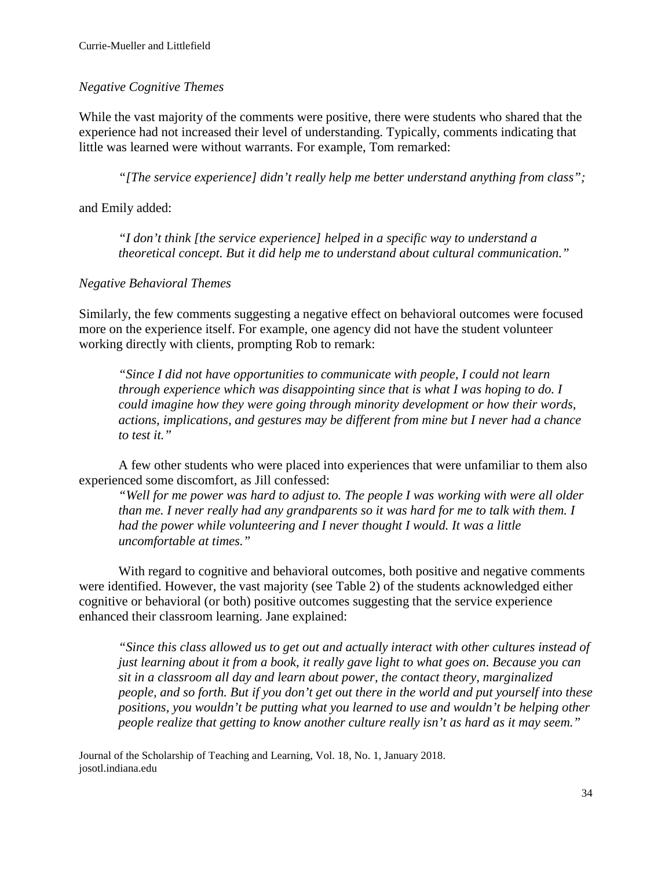# *Negative Cognitive Themes*

While the vast majority of the comments were positive, there were students who shared that the experience had not increased their level of understanding. Typically, comments indicating that little was learned were without warrants. For example, Tom remarked:

*"[The service experience] didn't really help me better understand anything from class";*

and Emily added:

*"I don't think [the service experience] helped in a specific way to understand a theoretical concept. But it did help me to understand about cultural communication."*

# *Negative Behavioral Themes*

Similarly, the few comments suggesting a negative effect on behavioral outcomes were focused more on the experience itself. For example, one agency did not have the student volunteer working directly with clients, prompting Rob to remark:

*"Since I did not have opportunities to communicate with people, I could not learn through experience which was disappointing since that is what I was hoping to do. I could imagine how they were going through minority development or how their words, actions, implications, and gestures may be different from mine but I never had a chance to test it."*

A few other students who were placed into experiences that were unfamiliar to them also experienced some discomfort, as Jill confessed:

*"Well for me power was hard to adjust to. The people I was working with were all older than me. I never really had any grandparents so it was hard for me to talk with them. I had the power while volunteering and I never thought I would. It was a little uncomfortable at times."*

With regard to cognitive and behavioral outcomes, both positive and negative comments were identified. However, the vast majority (see Table 2) of the students acknowledged either cognitive or behavioral (or both) positive outcomes suggesting that the service experience enhanced their classroom learning. Jane explained:

*"Since this class allowed us to get out and actually interact with other cultures instead of just learning about it from a book, it really gave light to what goes on. Because you can sit in a classroom all day and learn about power, the contact theory, marginalized people, and so forth. But if you don't get out there in the world and put yourself into these positions, you wouldn't be putting what you learned to use and wouldn't be helping other people realize that getting to know another culture really isn't as hard as it may seem."*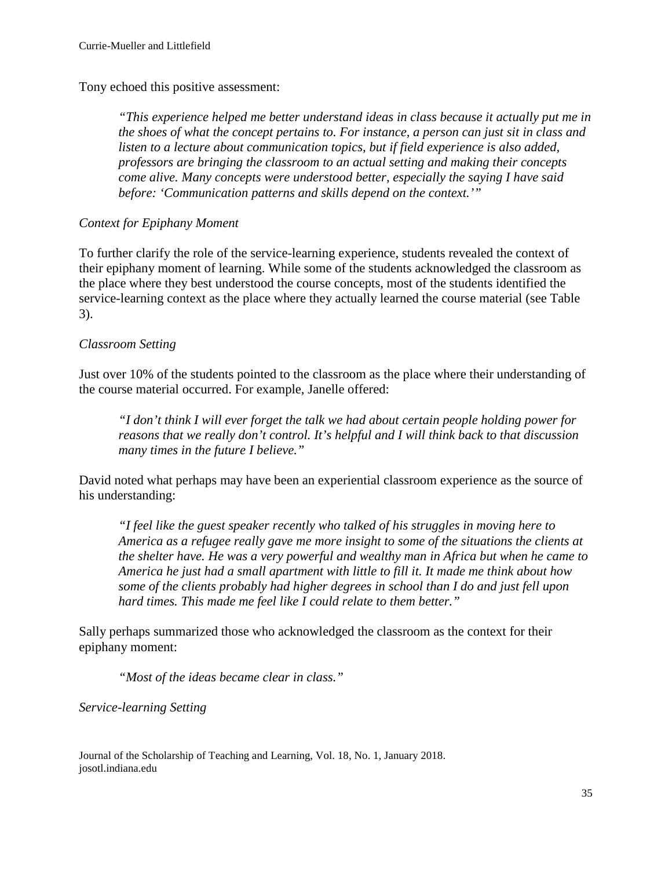Tony echoed this positive assessment:

*"This experience helped me better understand ideas in class because it actually put me in the shoes of what the concept pertains to. For instance, a person can just sit in class and listen to a lecture about communication topics, but if field experience is also added, professors are bringing the classroom to an actual setting and making their concepts come alive. Many concepts were understood better, especially the saying I have said before: 'Communication patterns and skills depend on the context.'"* 

## *Context for Epiphany Moment*

To further clarify the role of the service-learning experience, students revealed the context of their epiphany moment of learning. While some of the students acknowledged the classroom as the place where they best understood the course concepts, most of the students identified the service-learning context as the place where they actually learned the course material (see Table 3).

## *Classroom Setting*

Just over 10% of the students pointed to the classroom as the place where their understanding of the course material occurred. For example, Janelle offered:

*"I don't think I will ever forget the talk we had about certain people holding power for reasons that we really don't control. It's helpful and I will think back to that discussion many times in the future I believe."*

David noted what perhaps may have been an experiential classroom experience as the source of his understanding:

*"I feel like the guest speaker recently who talked of his struggles in moving here to America as a refugee really gave me more insight to some of the situations the clients at the shelter have. He was a very powerful and wealthy man in Africa but when he came to America he just had a small apartment with little to fill it. It made me think about how some of the clients probably had higher degrees in school than I do and just fell upon hard times. This made me feel like I could relate to them better."*

Sally perhaps summarized those who acknowledged the classroom as the context for their epiphany moment:

*"Most of the ideas became clear in class."*

*Service-learning Setting*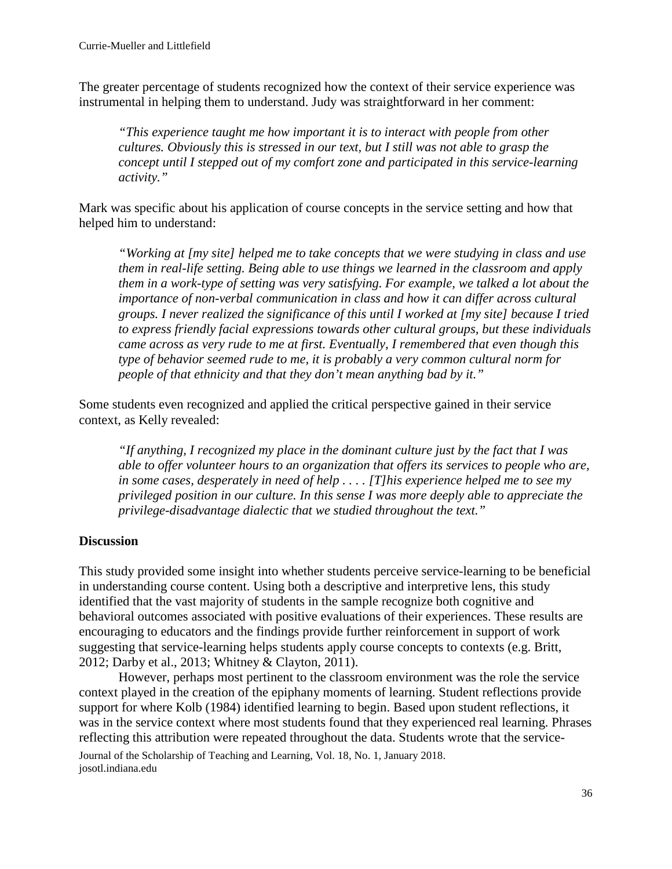The greater percentage of students recognized how the context of their service experience was instrumental in helping them to understand. Judy was straightforward in her comment:

*"This experience taught me how important it is to interact with people from other cultures. Obviously this is stressed in our text, but I still was not able to grasp the concept until I stepped out of my comfort zone and participated in this service-learning activity."*

Mark was specific about his application of course concepts in the service setting and how that helped him to understand:

*"Working at [my site] helped me to take concepts that we were studying in class and use them in real-life setting. Being able to use things we learned in the classroom and apply them in a work-type of setting was very satisfying. For example, we talked a lot about the importance of non-verbal communication in class and how it can differ across cultural groups. I never realized the significance of this until I worked at [my site] because I tried to express friendly facial expressions towards other cultural groups, but these individuals came across as very rude to me at first. Eventually, I remembered that even though this type of behavior seemed rude to me, it is probably a very common cultural norm for people of that ethnicity and that they don't mean anything bad by it."*

Some students even recognized and applied the critical perspective gained in their service context, as Kelly revealed:

*"If anything, I recognized my place in the dominant culture just by the fact that I was able to offer volunteer hours to an organization that offers its services to people who are, in some cases, desperately in need of help . . . . [T]his experience helped me to see my privileged position in our culture. In this sense I was more deeply able to appreciate the privilege-disadvantage dialectic that we studied throughout the text."*

# **Discussion**

This study provided some insight into whether students perceive service-learning to be beneficial in understanding course content. Using both a descriptive and interpretive lens, this study identified that the vast majority of students in the sample recognize both cognitive and behavioral outcomes associated with positive evaluations of their experiences. These results are encouraging to educators and the findings provide further reinforcement in support of work suggesting that service-learning helps students apply course concepts to contexts (e.g. Britt, 2012; Darby et al., 2013; Whitney & Clayton, 2011).

However, perhaps most pertinent to the classroom environment was the role the service context played in the creation of the epiphany moments of learning. Student reflections provide support for where Kolb (1984) identified learning to begin. Based upon student reflections, it was in the service context where most students found that they experienced real learning. Phrases reflecting this attribution were repeated throughout the data. Students wrote that the service-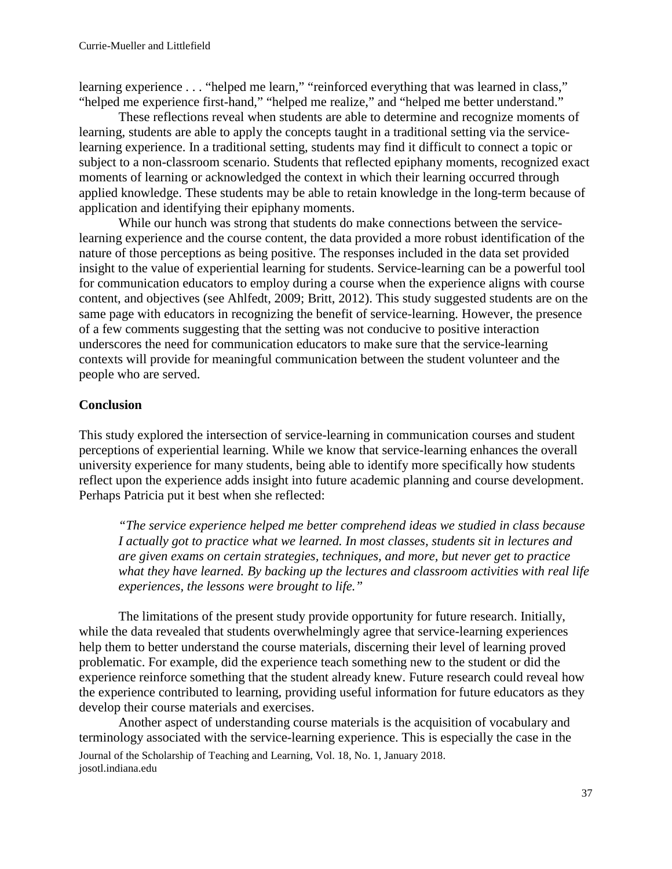learning experience . . . "helped me learn," "reinforced everything that was learned in class," "helped me experience first-hand," "helped me realize," and "helped me better understand."

These reflections reveal when students are able to determine and recognize moments of learning, students are able to apply the concepts taught in a traditional setting via the servicelearning experience. In a traditional setting, students may find it difficult to connect a topic or subject to a non-classroom scenario. Students that reflected epiphany moments, recognized exact moments of learning or acknowledged the context in which their learning occurred through applied knowledge. These students may be able to retain knowledge in the long-term because of application and identifying their epiphany moments.

While our hunch was strong that students do make connections between the servicelearning experience and the course content, the data provided a more robust identification of the nature of those perceptions as being positive. The responses included in the data set provided insight to the value of experiential learning for students. Service-learning can be a powerful tool for communication educators to employ during a course when the experience aligns with course content, and objectives (see Ahlfedt, 2009; Britt, 2012). This study suggested students are on the same page with educators in recognizing the benefit of service-learning. However, the presence of a few comments suggesting that the setting was not conducive to positive interaction underscores the need for communication educators to make sure that the service-learning contexts will provide for meaningful communication between the student volunteer and the people who are served.

# **Conclusion**

This study explored the intersection of service-learning in communication courses and student perceptions of experiential learning. While we know that service-learning enhances the overall university experience for many students, being able to identify more specifically how students reflect upon the experience adds insight into future academic planning and course development. Perhaps Patricia put it best when she reflected:

*"The service experience helped me better comprehend ideas we studied in class because I actually got to practice what we learned. In most classes, students sit in lectures and are given exams on certain strategies, techniques, and more, but never get to practice what they have learned. By backing up the lectures and classroom activities with real life experiences, the lessons were brought to life."*

The limitations of the present study provide opportunity for future research. Initially, while the data revealed that students overwhelmingly agree that service-learning experiences help them to better understand the course materials, discerning their level of learning proved problematic. For example, did the experience teach something new to the student or did the experience reinforce something that the student already knew. Future research could reveal how the experience contributed to learning, providing useful information for future educators as they develop their course materials and exercises.

Journal of the Scholarship of Teaching and Learning, Vol. 18, No. 1, January 2018. josotl.indiana.edu Another aspect of understanding course materials is the acquisition of vocabulary and terminology associated with the service-learning experience. This is especially the case in the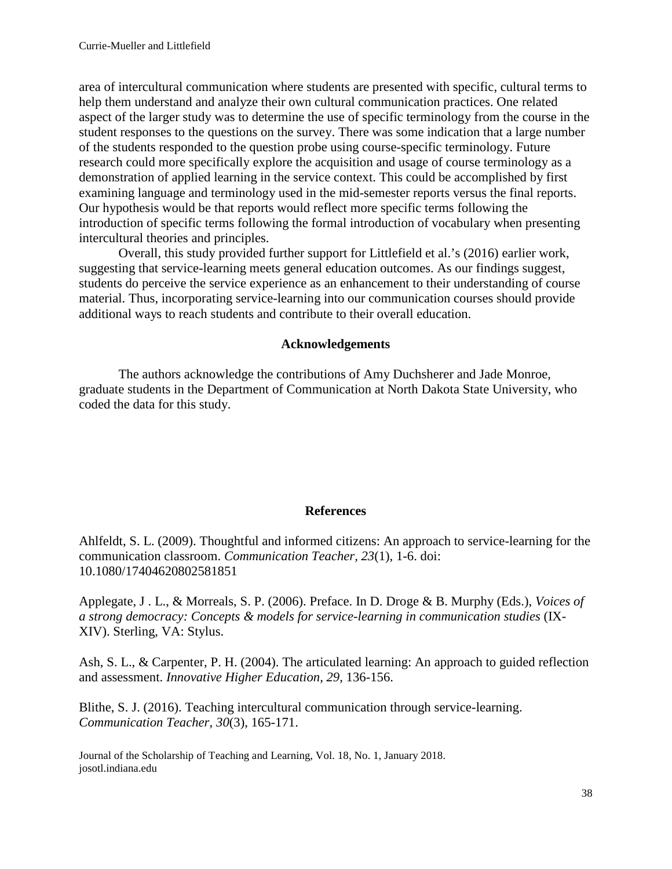area of intercultural communication where students are presented with specific, cultural terms to help them understand and analyze their own cultural communication practices. One related aspect of the larger study was to determine the use of specific terminology from the course in the student responses to the questions on the survey. There was some indication that a large number of the students responded to the question probe using course-specific terminology. Future research could more specifically explore the acquisition and usage of course terminology as a demonstration of applied learning in the service context. This could be accomplished by first examining language and terminology used in the mid-semester reports versus the final reports. Our hypothesis would be that reports would reflect more specific terms following the introduction of specific terms following the formal introduction of vocabulary when presenting intercultural theories and principles.

Overall, this study provided further support for Littlefield et al.'s (2016) earlier work, suggesting that service-learning meets general education outcomes. As our findings suggest, students do perceive the service experience as an enhancement to their understanding of course material. Thus, incorporating service-learning into our communication courses should provide additional ways to reach students and contribute to their overall education.

#### **Acknowledgements**

The authors acknowledge the contributions of Amy Duchsherer and Jade Monroe, graduate students in the Department of Communication at North Dakota State University, who coded the data for this study.

#### **References**

Ahlfeldt, S. L. (2009). Thoughtful and informed citizens: An approach to service-learning for the communication classroom. *Communication Teacher, 23*(1), 1-6. doi: 10.1080/17404620802581851

Applegate, J . L., & Morreals, S. P. (2006). Preface. In D. Droge & B. Murphy (Eds.), *Voices of a strong democracy: Concepts & models for service-learning in communication studies* (IX-XIV). Sterling, VA: Stylus.

Ash, S. L., & Carpenter, P. H. (2004). The articulated learning: An approach to guided reflection and assessment. *Innovative Higher Education, 29*, 136-156.

Blithe, S. J. (2016). Teaching intercultural communication through service-learning. *Communication Teacher, 30*(3), 165-171.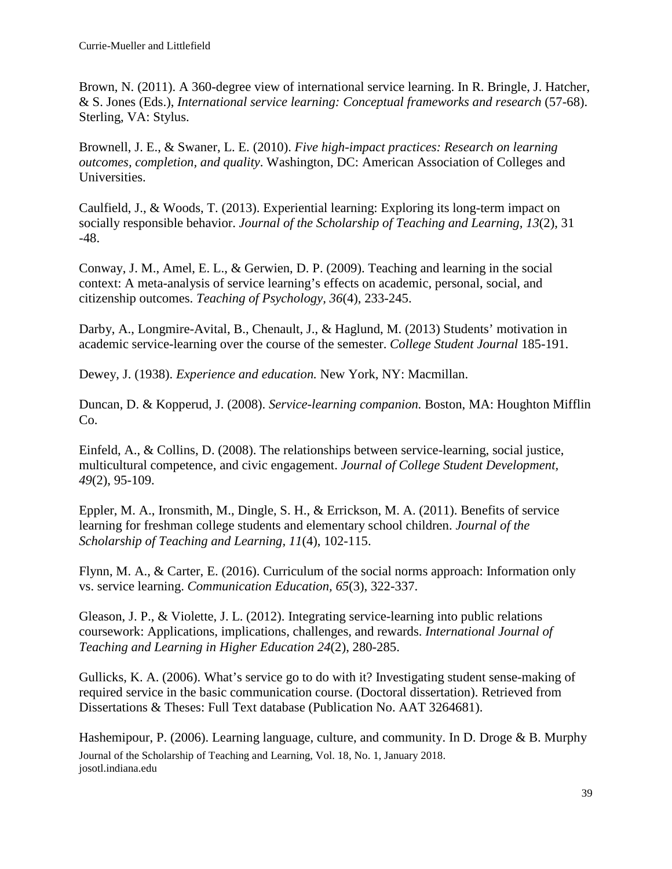Brown, N. (2011). A 360-degree view of international service learning. In R. Bringle, J. Hatcher, & S. Jones (Eds.), *International service learning: Conceptual frameworks and research* (57-68). Sterling, VA: Stylus.

Brownell, J. E., & Swaner, L. E. (2010). *Five high-impact practices: Research on learning outcomes, completion, and quality*. Washington, DC: American Association of Colleges and Universities.

Caulfield, J., & Woods, T. (2013). Experiential learning: Exploring its long-term impact on socially responsible behavior. *Journal of the Scholarship of Teaching and Learning, 13*(2), 31 -48.

Conway, J. M., Amel, E. L., & Gerwien, D. P. (2009). Teaching and learning in the social context: A meta-analysis of service learning's effects on academic, personal, social, and citizenship outcomes. *Teaching of Psychology, 36*(4), 233-245.

Darby, A., Longmire-Avital, B., Chenault, J., & Haglund, M. (2013) Students' motivation in academic service-learning over the course of the semester. *College Student Journal* 185-191.

Dewey, J. (1938). *Experience and education.* New York, NY: Macmillan.

Duncan, D. & Kopperud, J. (2008). *Service-learning companion.* Boston, MA: Houghton Mifflin Co.

Einfeld, A., & Collins, D. (2008). The relationships between service-learning, social justice, multicultural competence, and civic engagement. *Journal of College Student Development, 49*(2), 95-109.

Eppler, M. A., Ironsmith, M., Dingle, S. H., & Errickson, M. A. (2011). Benefits of service learning for freshman college students and elementary school children. *Journal of the Scholarship of Teaching and Learning, 11*(4), 102-115.

Flynn, M. A., & Carter, E. (2016). Curriculum of the social norms approach: Information only vs. service learning. *Communication Education, 65*(3), 322-337.

Gleason, J. P., & Violette, J. L. (2012). Integrating service-learning into public relations coursework: Applications, implications, challenges, and rewards. *International Journal of Teaching and Learning in Higher Education 24*(2), 280-285.

Gullicks, K. A. (2006). What's service go to do with it? Investigating student sense-making of required service in the basic communication course. (Doctoral dissertation). Retrieved from Dissertations & Theses: Full Text database (Publication No. AAT 3264681).

Journal of the Scholarship of Teaching and Learning, Vol. 18, No. 1, January 2018. josotl.indiana.edu Hashemipour, P. (2006). Learning language, culture, and community. In D. Droge & B. Murphy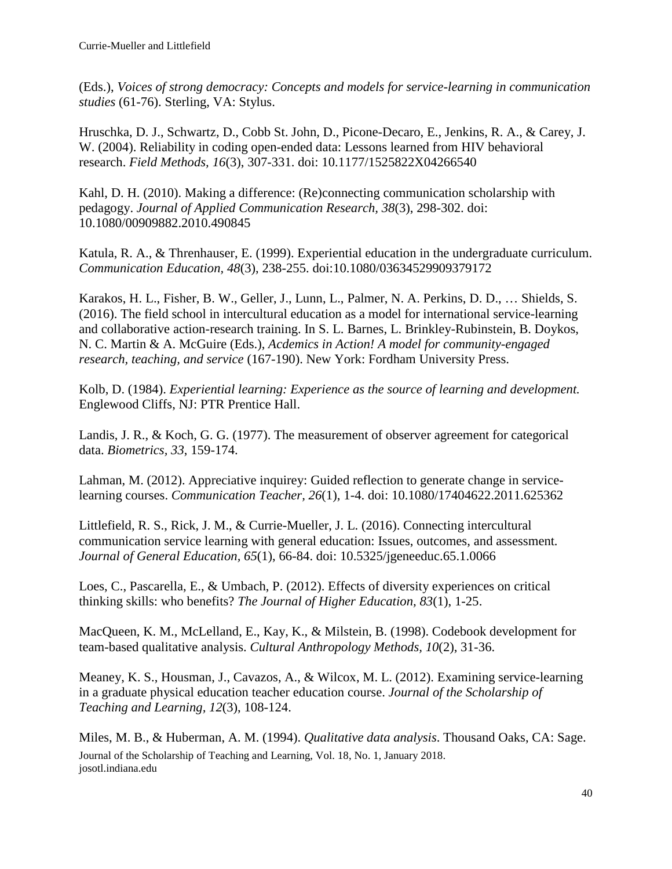(Eds.), *Voices of strong democracy: Concepts and models for service-learning in communication studies* (61-76). Sterling, VA: Stylus.

Hruschka, D. J., Schwartz, D., Cobb St. John, D., Picone-Decaro, E., Jenkins, R. A., & Carey, J. W. (2004). Reliability in coding open-ended data: Lessons learned from HIV behavioral research. *Field Methods, 16*(3), 307-331. doi: 10.1177/1525822X04266540

Kahl, D. H. (2010). Making a difference: (Re)connecting communication scholarship with pedagogy. *Journal of Applied Communication Research, 38*(3), 298-302. doi: 10.1080/00909882.2010.490845

Katula, R. A., & Threnhauser, E. (1999). Experiential education in the undergraduate curriculum. *Communication Education, 48*(3), 238-255. doi:10.1080/03634529909379172

Karakos, H. L., Fisher, B. W., Geller, J., Lunn, L., Palmer, N. A. Perkins, D. D., … Shields, S. (2016). The field school in intercultural education as a model for international service-learning and collaborative action-research training. In S. L. Barnes, L. Brinkley-Rubinstein, B. Doykos, N. C. Martin & A. McGuire (Eds.), *Acdemics in Action! A model for community-engaged research, teaching, and service* (167-190). New York: Fordham University Press.

Kolb, D. (1984). *Experiential learning: Experience as the source of learning and development.* Englewood Cliffs, NJ: PTR Prentice Hall.

Landis, J. R., & Koch, G. G. (1977). The measurement of observer agreement for categorical data. *Biometrics, 33*, 159-174.

Lahman, M. (2012). Appreciative inquirey: Guided reflection to generate change in servicelearning courses. *Communication Teacher, 26*(1), 1-4. doi: 10.1080/17404622.2011.625362

Littlefield, R. S., Rick, J. M., & Currie-Mueller, J. L. (2016). Connecting intercultural communication service learning with general education: Issues, outcomes, and assessment*. Journal of General Education, 65*(1), 66-84. doi: 10.5325/jgeneeduc.65.1.0066

Loes, C., Pascarella, E., & Umbach, P. (2012). Effects of diversity experiences on critical thinking skills: who benefits? *The Journal of Higher Education, 83*(1), 1-25.

MacQueen, K. M., McLelland, E., Kay, K., & Milstein, B. (1998). Codebook development for team-based qualitative analysis. *Cultural Anthropology Methods, 10*(2), 31-36.

Meaney, K. S., Housman, J., Cavazos, A., & Wilcox, M. L. (2012). Examining service-learning in a graduate physical education teacher education course. *Journal of the Scholarship of Teaching and Learning, 12*(3), 108-124.

Journal of the Scholarship of Teaching and Learning, Vol. 18, No. 1, January 2018. josotl.indiana.edu Miles, M. B., & Huberman, A. M. (1994). *Qualitative data analysis*. Thousand Oaks, CA: Sage.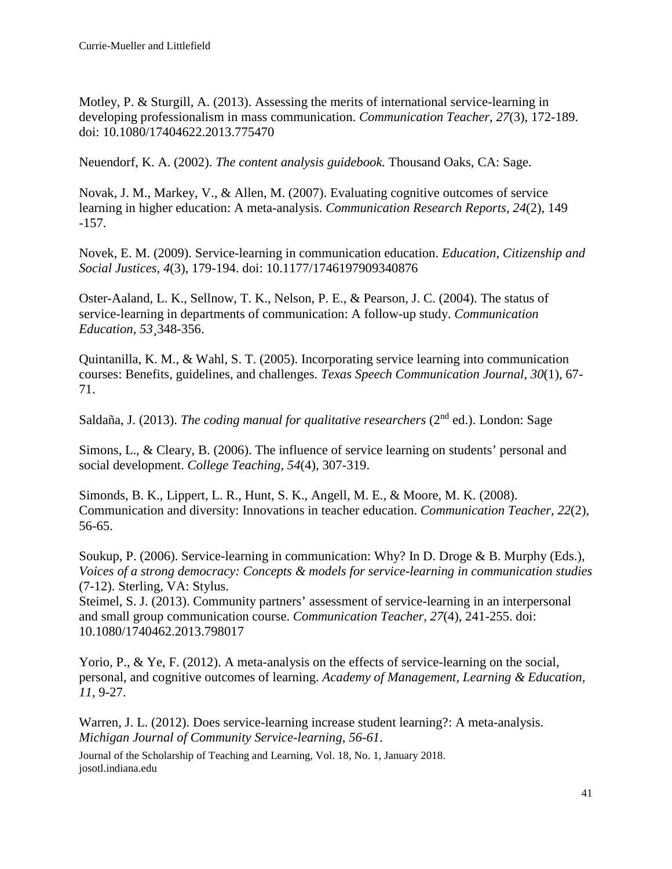Motley, P. & Sturgill, A. (2013). Assessing the merits of international service-learning in developing professionalism in mass communication. *Communication Teacher, 27*(3), 172-189. doi: 10.1080/17404622.2013.775470

Neuendorf, K. A. (2002). *The content analysis guidebook.* Thousand Oaks, CA: Sage.

Novak, J. M., Markey, V., & Allen, M. (2007). Evaluating cognitive outcomes of service learning in higher education: A meta-analysis. *Communication Research Reports, 24*(2), 149 -157.

Novek, E. M. (2009). Service-learning in communication education. *Education, Citizenship and Social Justices, 4*(3), 179-194. doi: 10.1177/1746197909340876

Oster-Aaland, L. K., Sellnow, T. K., Nelson, P. E., & Pearson, J. C. (2004). The status of service-learning in departments of communication: A follow-up study. *Communication Education, 53¸*348-356.

Quintanilla, K. M., & Wahl, S. T. (2005). Incorporating service learning into communication courses: Benefits, guidelines, and challenges. *Texas Speech Communication Journal, 30*(1), 67- 71.

Saldaña, J. (2013). *The coding manual for qualitative researchers* (2<sup>nd</sup> ed.). London: Sage

Simons, L., & Cleary, B. (2006). The influence of service learning on students' personal and social development. *College Teaching, 54*(4), 307-319.

Simonds, B. K., Lippert, L. R., Hunt, S. K., Angell, M. E., & Moore, M. K. (2008). Communication and diversity: Innovations in teacher education. *Communication Teacher, 22*(2), 56-65.

Soukup, P. (2006). Service-learning in communication: Why? In D. Droge & B. Murphy (Eds.), *Voices of a strong democracy: Concepts & models for service-learning in communication studies* (7-12). Sterling, VA: Stylus.

Steimel, S. J. (2013). Community partners' assessment of service-learning in an interpersonal and small group communication course. *Communication Teacher, 27*(4), 241-255. doi: 10.1080/1740462.2013.798017

Yorio, P., & Ye, F. (2012). A meta-analysis on the effects of service-learning on the social, personal, and cognitive outcomes of learning. *Academy of Management, Learning & Education, 11*, 9-27.

Warren, J. L. (2012). Does service-learning increase student learning?: A meta-analysis. *Michigan Journal of Community Service-learning, 56-61*.